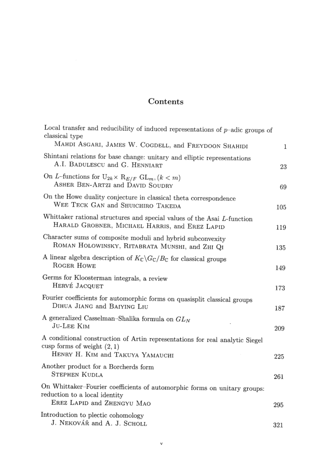## Contents

| Local transfer and reducibility of induced representations of $p$ -adic groups of<br>classical type                                      |     |
|------------------------------------------------------------------------------------------------------------------------------------------|-----|
| MAHDI ASGARI, JAMES W. COGDELL, and FREYDOON SHAHIDI                                                                                     | 1   |
| Shintani relations for base change: unitary and elliptic representations<br>A.I. BADULESCU and G. HENNIART                               | 23  |
| On L-functions for $U_{2k} \times R_{E/F}$ GL <sub>m</sub> , $(k < m)$<br>ASHER BEN-ARTZI and DAVID SOUDRY                               | 69  |
| On the Howe duality conjecture in classical theta correspondence<br>WEE TECK GAN and SHUICHIRO TAKEDA                                    | 105 |
| Whittaker rational structures and special values of the Asai L-function<br>HARALD GROBNER, MICHAEL HARRIS, and EREZ LAPID                | 119 |
| Character sums of composite moduli and hybrid subconvexity<br>ROMAN HOLOWINSKY, RITABRATA MUNSHI, and ZHI QI                             | 135 |
| A linear algebra description of $K_{\mathbb{C}}\backslash G_{\mathbb{C}}/B_{\mathbb{C}}$ for classical groups<br>ROGER HOWE              | 149 |
| Germs for Kloosterman integrals, a review<br>HERVÉ JACQUET                                                                               | 173 |
| Fourier coefficients for automorphic forms on quasisplit classical groups<br>DIHUA JIANG and BAIYING LIU                                 | 187 |
| A generalized Casselman-Shalika formula on $GL_N$<br>JU-LEE KIM                                                                          | 209 |
| A conditional construction of Artin representations for real analytic Siegel<br>cusp forms of weight $(2, 1)$                            |     |
| HENRY H. KIM and TAKUYA YAMAUCHI                                                                                                         | 225 |
| Another product for a Borcherds form<br>STEPHEN KUDLA                                                                                    | 261 |
| On Whittaker-Fourier coefficients of automorphic forms on unitary groups:<br>reduction to a local identity<br>EREZ LAPID and ZHENGYU MAO |     |
|                                                                                                                                          | 295 |
| Introduction to plectic cohomology<br>J. NEKOVÁŘ and A. J. SCHOLL                                                                        | 321 |
|                                                                                                                                          |     |